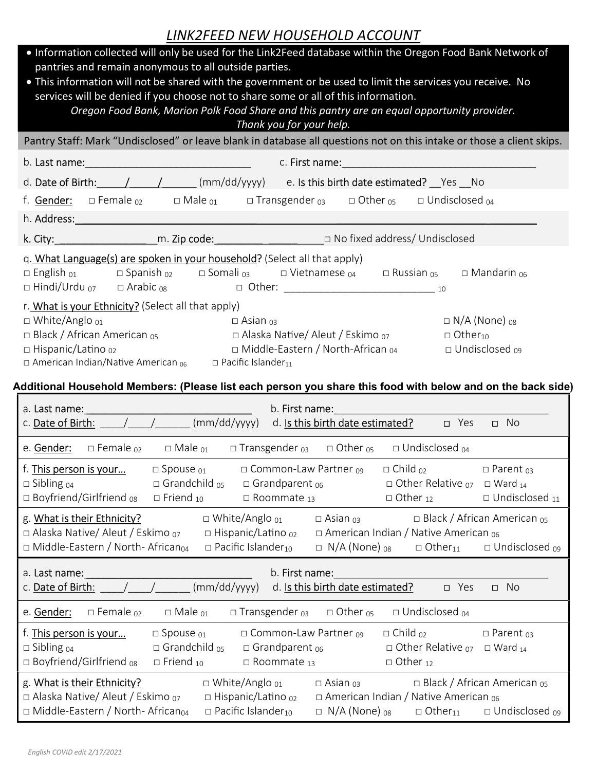## LINK2FEED NEW HOUSEHOLD ACCOUNT

| . Information collected will only be used for the Link2Feed database within the Oregon Food Bank Network of<br>pantries and remain anonymous to all outside parties.<br>. This information will not be shared with the government or be used to limit the services you receive. No<br>services will be denied if you choose not to share some or all of this information.<br>Oregon Food Bank, Marion Polk Food Share and this pantry are an equal opportunity provider.<br>Thank you for your help.                                                                                                           |
|----------------------------------------------------------------------------------------------------------------------------------------------------------------------------------------------------------------------------------------------------------------------------------------------------------------------------------------------------------------------------------------------------------------------------------------------------------------------------------------------------------------------------------------------------------------------------------------------------------------|
| Pantry Staff: Mark "Undisclosed" or leave blank in database all questions not on this intake or those a client skips.                                                                                                                                                                                                                                                                                                                                                                                                                                                                                          |
|                                                                                                                                                                                                                                                                                                                                                                                                                                                                                                                                                                                                                |
| d. Date of Birth: $\sqrt{2}$ / $\sqrt{2}$ (mm/dd/yyyy) e. Is this birth date estimated? Pes No                                                                                                                                                                                                                                                                                                                                                                                                                                                                                                                 |
| f. Gender: $\Box$ Female $_{02}$ $\Box$ Male $_{01}$ $\Box$ Transgender $_{03}$ $\Box$ Other $_{05}$ $\Box$ Undisclosed $_{04}$                                                                                                                                                                                                                                                                                                                                                                                                                                                                                |
|                                                                                                                                                                                                                                                                                                                                                                                                                                                                                                                                                                                                                |
|                                                                                                                                                                                                                                                                                                                                                                                                                                                                                                                                                                                                                |
| q. What Language(s) are spoken in your household? (Select all that apply)<br>$\Box$ English <sub>01</sub> $\Box$ Spanish <sub>02</sub> $\Box$ Somali <sub>03</sub> $\Box$ Vietnamese <sub>04</sub> $\Box$ Russian <sub>05</sub><br>$\square$ Mandarin <sub>06</sub>                                                                                                                                                                                                                                                                                                                                            |
| r. What is your Ethnicity? (Select all that apply)<br>$\square$ White/Anglo $_{01}$<br>$\square$ Asian $_{03}$<br>$\Box$ N/A (None) $_{08}$<br>$\Box$ Black / African American <sub>05</sub> $\Box$ Alaska Native/ Aleut / Eskimo <sub>07</sub><br>$\Box$ Other <sub>10</sub><br>$\square$ Middle-Eastern / North-African $_{04}$<br>$\Box$ Hispanic/Latino $_{02}$<br>$\Box$ Undisclosed $_{09}$<br>$\Box$ American Indian/Native American <sub>06</sub> $\Box$ Pacific Islander <sub>11</sub><br>Additional Household Members: (Please list each person you share this food with below and on the back side) |
| c. Date of Birth: ____/____/______(mm/dd/yyyy) d. Is this birth date estimated? □ Yes □ No                                                                                                                                                                                                                                                                                                                                                                                                                                                                                                                     |
| e. Gender: $\Box$ Female $_{02}$ $\Box$ Male $_{01}$ $\Box$ Transgender $_{03}$ $\Box$ Other $_{05}$ $\Box$ Undisclosed $_{04}$                                                                                                                                                                                                                                                                                                                                                                                                                                                                                |
| f. This person is your $\Box$ Spouse $_{01}$ $\Box$ Common-Law Partner $_{09}$ $\Box$ Child $_{02}$ $\Box$ Parent $_{03}$<br>$\square$ Sibling 04 $\square$ Grandchild 05 $\square$ Grandparent 06 $\square$ Other Relative 07 $\square$ Ward 14<br>$\Box$ Boyfriend/Girlfriend $_{08}$<br>$\Box$ Friend $_{10}$<br>$\Box$ Other 12<br>$\Box$ Undisclosed $_{11}$<br>$\Box$ Roommate 13                                                                                                                                                                                                                        |
| g. What is their Ethnicity?<br>$\Box$ White/Anglo $_{01}$<br>$\Box$ Black / African American $_{05}$<br>$\square$ Asian $_{03}$<br>$\Box$ Alaska Native/ Aleut / Eskimo $_{07}$<br>$\Box$ Hispanic/Latino $_{02}$<br>$\Box$ American Indian / Native American $_{06}$<br>□ Middle-Eastern / North- African <sub>04</sub><br>$\Box$ Pacific Islander <sub>10</sub><br>$\Box$ N/A (None) $_{08}$<br>$\Box$ Undisclosed $_{09}$<br>$\Box$ Other <sub>11</sub>                                                                                                                                                     |
| a. Last name:<br>b. First name:                                                                                                                                                                                                                                                                                                                                                                                                                                                                                                                                                                                |
| (mm/dd/yyyy)<br>d. Is this birth date estimated?<br>c. Date of Birth:<br>$\square$ No<br>□ Yes                                                                                                                                                                                                                                                                                                                                                                                                                                                                                                                 |
| $\square$ Transgender $_{03}$<br>$\Box$ Undisclosed $_{04}$<br>$\Box$ Female $_{02}$<br>$\Box$ Male $_{01}$<br>$\Box$ Other <sub>05</sub><br>e. Gender:                                                                                                                                                                                                                                                                                                                                                                                                                                                        |
| $\square$ Common-Law Partner $_{09}$<br>$\Box$ Child $_{02}$<br>$\square$ Parent $_{03}$<br>f. This person is your<br>$\square$ Spouse $_{01}$<br>$\square$ Grandchild $_{05}$<br>$\Box$ Grandparent $_{06}$<br>$\Box$ Other Relative $_{07}$<br>$\Box$ Sibling $_{04}$<br>$\Box$ Ward $_{14}$<br>$\square$ Boyfriend/Girlfriend $_{08}$<br>$\square$ Friend $_{10}$<br>$\Box$ Roommate $_{13}$<br>$\Box$ Other <sub>12</sub>                                                                                                                                                                                  |
| g. What is their Ethnicity?<br>□ White/Anglo 01<br>$\Box$ Black / African American $_{05}$<br>$\Box$ Asian $_{03}$<br>□ Alaska Native/ Aleut / Eskimo 07<br>□ Hispanic/Latino <sub>02</sub><br>□ American Indian / Native American 06<br>$\Box$ Pacific Islander <sub>10</sub><br>$\Box$ Middle-Eastern / North-African <sub>04</sub><br>$\Box$ N/A (None) $_{08}$<br>$\Box$ Other <sub>11</sub><br>$\Box$ Undisclosed $_{09}$                                                                                                                                                                                 |